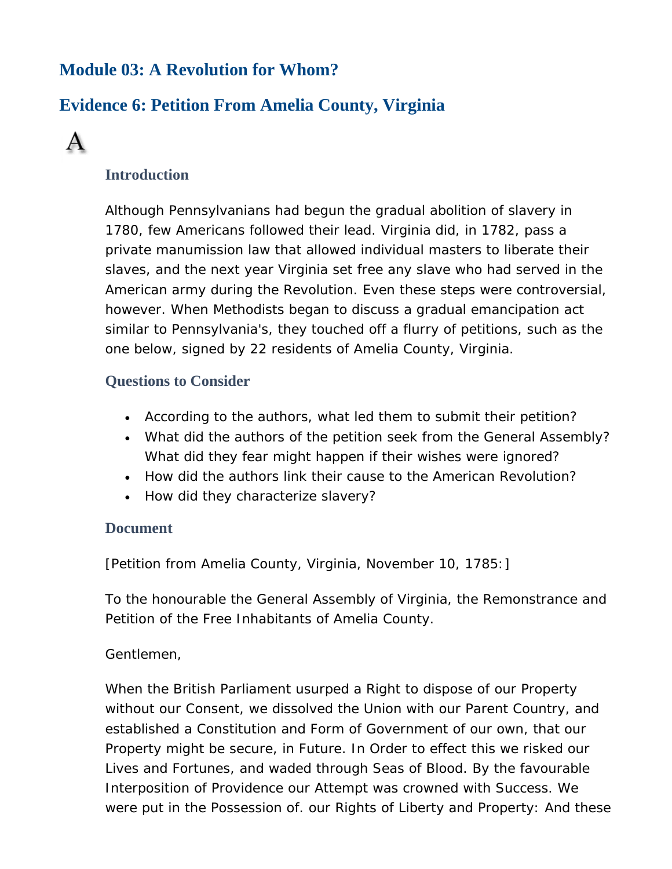## **Module 03: A Revolution for Whom?**

# **Evidence 6: Petition From Amelia County, Virginia**



### **Introduction**

Although Pennsylvanians had begun the gradual abolition of slavery in 1780, few Americans followed their lead. Virginia did, in 1782, pass a private manumission law that allowed individual masters to liberate their slaves, and the next year Virginia set free any slave who had served in the American army during the Revolution. Even these steps were controversial, however. When Methodists began to discuss a gradual emancipation act similar to Pennsylvania's, they touched off a flurry of petitions, such as the one below, signed by 22 residents of Amelia County, Virginia.

#### **Questions to Consider**

- According to the authors, what led them to submit their petition?
- What did the authors of the petition seek from the General Assembly? What did they fear might happen if their wishes were ignored?
- How did the authors link their cause to the American Revolution?
- How did they characterize slavery?

#### **Document**

[Petition from Amelia County, Virginia, November 10, 1785:]

To the honourable the General Assembly of Virginia, the Remonstrance and Petition of the Free Inhabitants of Amelia County.

#### Gentlemen,

When the British Parliament usurped a Right to dispose of our Property without our Consent, we dissolved the Union with our Parent Country, and established a Constitution and Form of Government of our own, that our Property might be secure, in Future. In Order to effect this we risked our Lives and Fortunes, and waded through Seas of Blood. By the favourable Interposition of Providence our Attempt was crowned with Success. We were put in the Possession of. our Rights of Liberty and Property: And these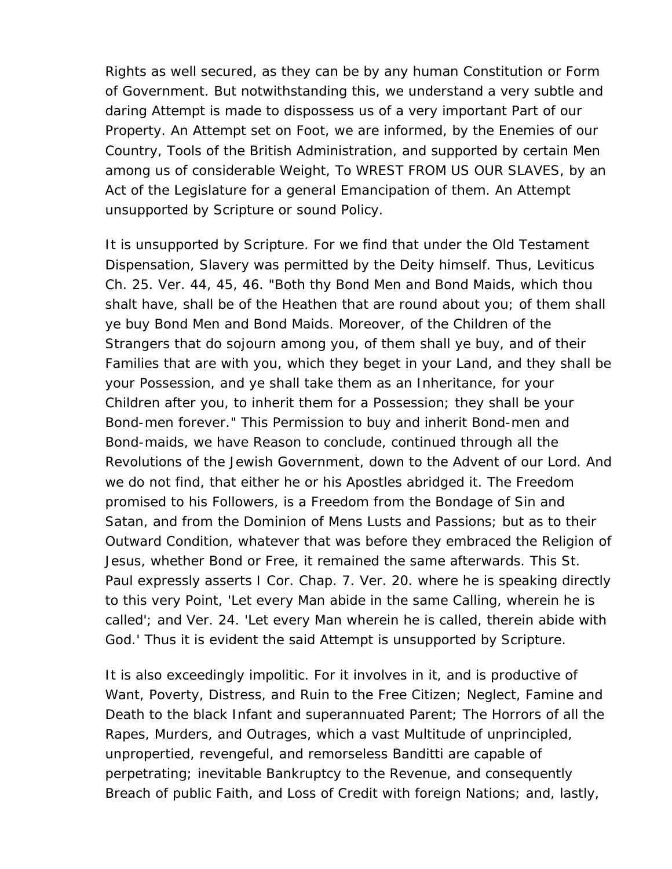Rights as well secured, as they can be by any human Constitution or Form of Government. But notwithstanding this, we understand a very subtle and daring Attempt is made to dispossess us of a very important Part of our Property. An Attempt set on Foot, we are informed, by the Enemies of our Country, Tools of the British Administration, and supported by certain Men among us of considerable Weight, To WREST FROM US OUR SLAVES, by an Act of the Legislature for a general Emancipation of them. An Attempt unsupported by Scripture or sound Policy.

It is unsupported by Scripture. For we find that under the Old Testament Dispensation, Slavery was permitted by the Deity himself. Thus, Leviticus Ch. 25. Ver. 44, 45, 46. "Both thy Bond Men and Bond Maids, which thou shalt have, shall be of the Heathen that are round about you; of them shall ye buy Bond Men and Bond Maids. Moreover, of the Children of the Strangers that do sojourn among you, of them shall ye buy, and of their Families that are with you, which they beget in your Land, and they shall be your Possession, and ye shall take them as an Inheritance, for your Children after you, to inherit them for a Possession; they shall be your Bond-men forever." This Permission to buy and inherit Bond-men and Bond-maids, we have Reason to conclude, continued through all the Revolutions of the Jewish Government, down to the Advent of our Lord. And we do not find, that either he or his Apostles abridged it. The Freedom promised to his Followers, is a Freedom from the Bondage of Sin and Satan, and from the Dominion of Mens Lusts and Passions; but as to their Outward Condition, whatever that was before they embraced the Religion of Jesus, whether Bond or Free, it remained the same afterwards. This St. Paul expressly asserts I Cor. Chap. 7. Ver. 20. where he is speaking directly to this very Point, 'Let every Man abide in the same Calling, wherein he is called'; and Ver. 24. 'Let every Man wherein he is called, therein abide with God.' Thus it is evident the said Attempt is unsupported by Scripture.

It is also exceedingly impolitic. For it involves in it, and is productive of Want, Poverty, Distress, and Ruin to the Free Citizen; Neglect, Famine and Death to the black Infant and superannuated Parent; The Horrors of all the Rapes, Murders, and Outrages, which a vast Multitude of unprincipled, unpropertied, revengeful, and remorseless Banditti are capable of perpetrating; inevitable Bankruptcy to the Revenue, and consequently Breach of public Faith, and Loss of Credit with foreign Nations; and, lastly,